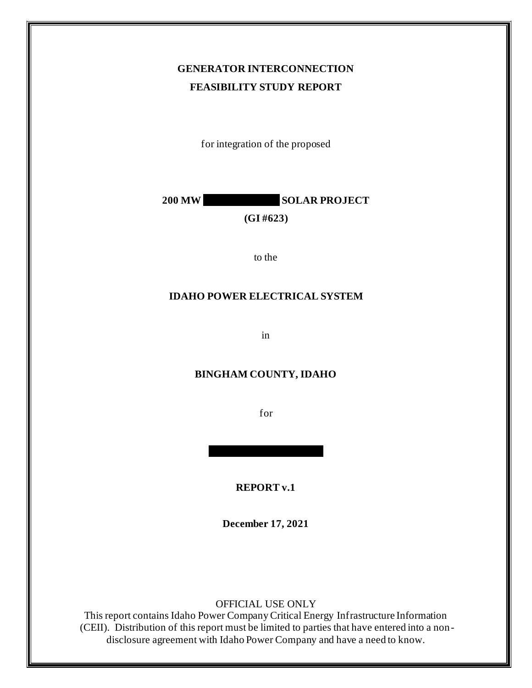### **GENERATOR INTERCONNECTION FEASIBILITY STUDY REPORT**

for integration of the proposed

**200 MW SOLAR PROJECT** 

**(GI #623)**

to the

#### **IDAHO POWER ELECTRICAL SYSTEM**

in

#### **BINGHAM COUNTY, IDAHO**

for

**REPORT v.1**

**December 17, 2021**

OFFICIAL USE ONLY

This report contains Idaho Power Company Critical Energy Infrastructure Information (CEII). Distribution of this report must be limited to parties that have entered into a nondisclosure agreement with Idaho Power Company and have a need to know.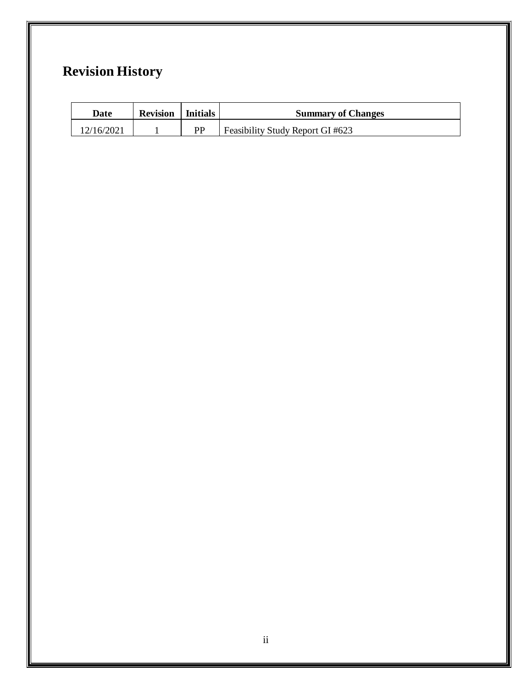# **Revision History**

| Date       | <b>Revision</b> | l Initials | <b>Summary of Changes</b>        |
|------------|-----------------|------------|----------------------------------|
| 12/16/2021 |                 | РP         | Feasibility Study Report GI #623 |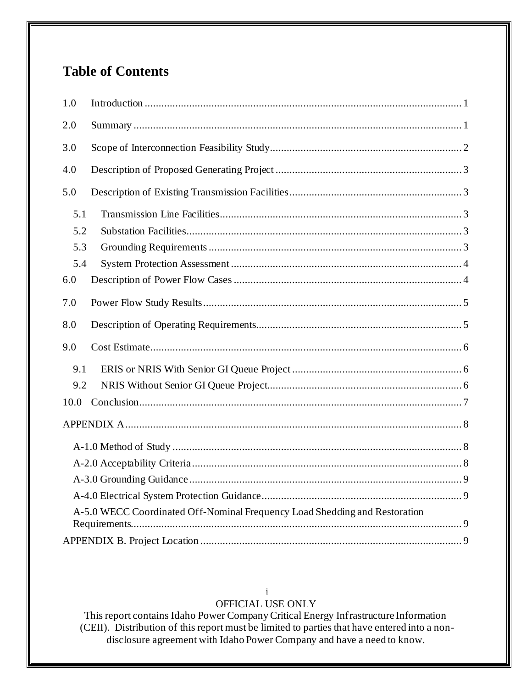## **Table of Contents**

| 1.0  |                                                                            |
|------|----------------------------------------------------------------------------|
| 2.0  |                                                                            |
| 3.0  |                                                                            |
| 4.0  |                                                                            |
| 5.0  |                                                                            |
| 5.1  |                                                                            |
| 5.2  |                                                                            |
| 5.3  |                                                                            |
| 5.4  |                                                                            |
| 6.0  |                                                                            |
| 7.0  |                                                                            |
| 8.0  |                                                                            |
| 9.0  |                                                                            |
| 9.1  |                                                                            |
| 9.2  |                                                                            |
| 10.0 |                                                                            |
|      |                                                                            |
|      |                                                                            |
|      |                                                                            |
|      |                                                                            |
|      |                                                                            |
|      | A-5.0 WECC Coordinated Off-Nominal Frequency Load Shedding and Restoration |
|      |                                                                            |
|      |                                                                            |

#### $\mathbf{i}$ OFFICIAL USE ONLY

This report contains Idaho Power Company Critical Energy Infrastructure Information<br>(CEII). Distribution of this report must be limited to parties that have entered into a nondisclosure agreement with Idaho Power Company and have a need to know.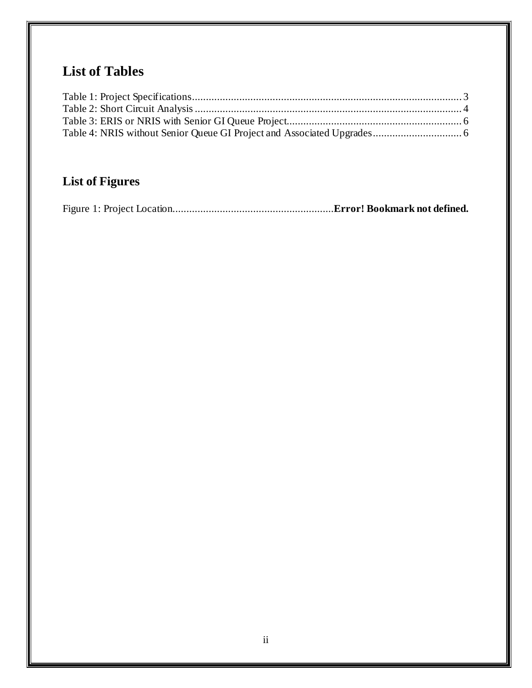# **List of Tables**

# **List of Figures**

|--|--|--|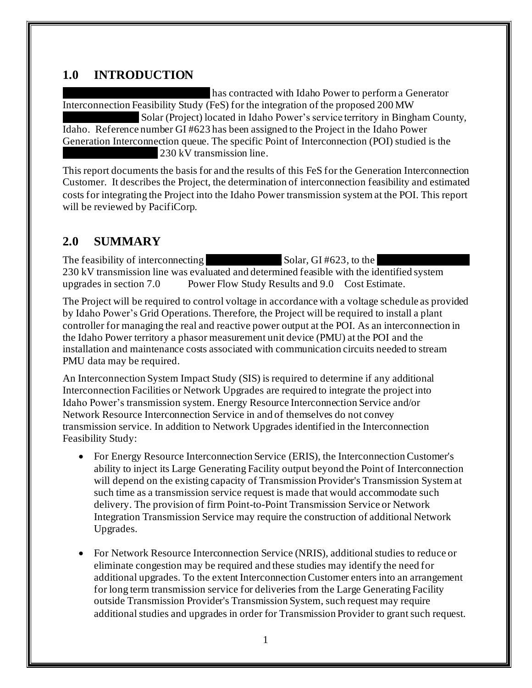### <span id="page-4-0"></span>**1.0 INTRODUCTION**

has contracted with Idaho Power to perform a Generator Interconnection Feasibility Study (FeS) for the integration of the proposed 200 MW Solar (Project) located in Idaho Power's service territory in Bingham County, Idaho. Reference number GI #623 has been assigned to the Project in the Idaho Power Generation Interconnection queue. The specific Point of Interconnection (POI) studied is the  $230 \mathrm{kV}$  transmission line.

This report documents the basis for and the results of this FeS for the Generation Interconnection Customer. It describes the Project, the determination of interconnection feasibility and estimated costs for integrating the Project into the Idaho Power transmission system at the POI. This report will be reviewed by PacifiCorp.

### <span id="page-4-1"></span>**2.0 SUMMARY**

The feasibility of interconnecting XXXXXXXXXX Solar, GI #623, to the XXXXX-XXXXXXX 230 kV transmission line was evaluated and determined feasible with the identified system upgrades in section 7.0 Power Flow Study [Results](#page-8-0) and 9.0 [Cost Estimate.](#page-9-0)

The Project will be required to control voltage in accordance with a voltage schedule as provided by Idaho Power's Grid Operations. Therefore, the Project will be required to install a plant controller for managing the real and reactive power output at the POI. As an interconnection in the Idaho Power territory a phasor measurement unit device (PMU) at the POI and the installation and maintenance costs associated with communication circuits needed to stream PMU data may be required.

An Interconnection System Impact Study (SIS) is required to determine if any additional Interconnection Facilities or Network Upgrades are required to integrate the project into Idaho Power's transmission system. Energy Resource Interconnection Service and/or Network Resource Interconnection Service in and of themselves do not convey transmission service. In addition to Network Upgrades identified in the Interconnection Feasibility Study:

- For Energy Resource Interconnection Service (ERIS), the Interconnection Customer's ability to inject its Large Generating Facility output beyond the Point of Interconnection will depend on the existing capacity of Transmission Provider's Transmission System at such time as a transmission service request is made that would accommodate such delivery. The provision of firm Point-to-Point Transmission Service or Network Integration Transmission Service may require the construction of additional Network Upgrades.
- For Network Resource Interconnection Service (NRIS), additional studies to reduce or eliminate congestion may be required and these studies may identify the need for additional upgrades. To the extent Interconnection Customer enters into an arrangement for long term transmission service for deliveries from the Large Generating Facility outside Transmission Provider's Transmission System, such request may require additional studies and upgrades in order for Transmission Provider to grant such request.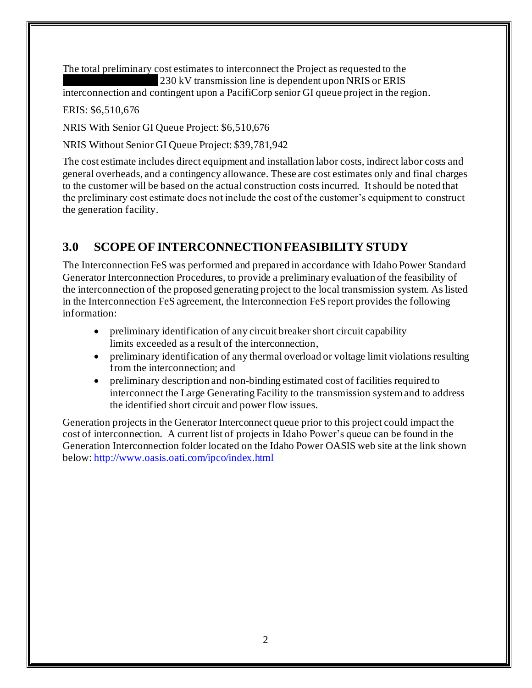The total preliminary cost estimates to interconnect the Project as requested to the  $230 \mathrm{kV}$  transmission line is dependent upon NRIS or ERIS

interconnection and contingent upon a PacifiCorp senior GI queue project in the region.

ERIS: \$6,510,676

NRIS With Senior GI Queue Project: \$6,510,676

NRIS Without Senior GI Queue Project: \$39,781,942

The cost estimate includes direct equipment and installation labor costs, indirect labor costs and general overheads, and a contingency allowance. These are cost estimates only and final charges to the customer will be based on the actual construction costs incurred. It should be noted that the preliminary cost estimate does not include the cost of the customer's equipment to construct the generation facility.

### <span id="page-5-0"></span>**3.0 SCOPE OF INTERCONNECTION FEASIBILITY STUDY**

The Interconnection FeS was performed and prepared in accordance with Idaho Power Standard Generator Interconnection Procedures, to provide a preliminary evaluation of the feasibility of the interconnection of the proposed generating project to the local transmission system. As listed in the Interconnection FeS agreement, the Interconnection FeS report provides the following information:

- preliminary identification of any circuit breaker short circuit capability limits exceeded as a result of the interconnection,
- preliminary identification of any thermal overload or voltage limit violations resulting from the interconnection; and
- preliminary description and non-binding estimated cost of facilities required to interconnect the Large Generating Facility to the transmission system and to address the identified short circuit and power flow issues.

Generation projects in the Generator Interconnect queue prior to this project could impact the cost of interconnection.A current list of projects in Idaho Power's queue can be found in the Generation Interconnection folder located on the Idaho Power OASIS web site at the link shown below: <http://www.oasis.oati.com/ipco/index.html>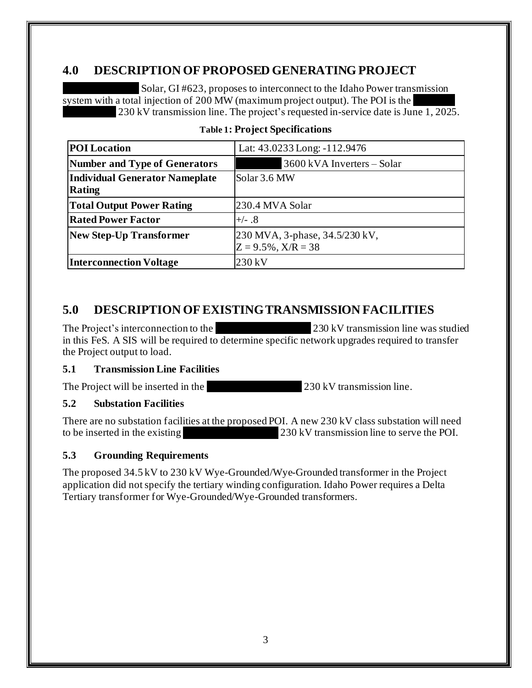### <span id="page-6-0"></span>**4.0 DESCRIPTION OF PROPOSED GENERATING PROJECT**

Solar, GI #623, proposes to interconnect to the Idaho Power transmission system with a total injection of  $200$  MW (maximum project output). The POI is the 230 kV transmission line. The project's requested in-service date is June 1, 2025.

<span id="page-6-5"></span>

| <b>POI</b> Location                   | Lat: 43.0233 Long: -112.9476   |
|---------------------------------------|--------------------------------|
| <b>Number and Type of Generators</b>  | 3600 kVA Inverters – Solar     |
| <b>Individual Generator Nameplate</b> | Solar 3.6 MW                   |
| Rating                                |                                |
| <b>Total Output Power Rating</b>      | 230.4 MVA Solar                |
| <b>Rated Power Factor</b>             | $+\!$ - $\!8$                  |
| <b>New Step-Up Transformer</b>        | 230 MVA, 3-phase, 34.5/230 kV, |
|                                       | $Z = 9.5\%, X/R = 38$          |
| <b>Interconnection Voltage</b>        | 230 kV                         |

#### **Table 1: Project Specifications**

### <span id="page-6-1"></span>**5.0 DESCRIPTION OF EXISTING TRANSMISSION FACILITIES**

The Project's interconnection to the  $\sim$  230 kV transmission line was studied in this FeS. A SIS will be required to determine specific network upgrades required to transfer the Project output to load.

#### <span id="page-6-2"></span>**5.1 Transmission Line Facilities**

The Project will be inserted in the  $230 \text{ kV}$  transmission line.

#### <span id="page-6-3"></span>**5.2 Substation Facilities**

There are no substation facilities at the proposed POI. A new 230 kV class substation will need to be inserted in the existing  $230 \text{ kV}$  transmission line to serve the POI.

#### <span id="page-6-4"></span>**5.3 Grounding Requirements**

The proposed 34.5 kV to 230 kV Wye-Grounded/Wye-Grounded transformer in the Project application did not specify the tertiary winding configuration. Idaho Power requires a Delta Tertiary transformer for Wye-Grounded/Wye-Grounded transformers.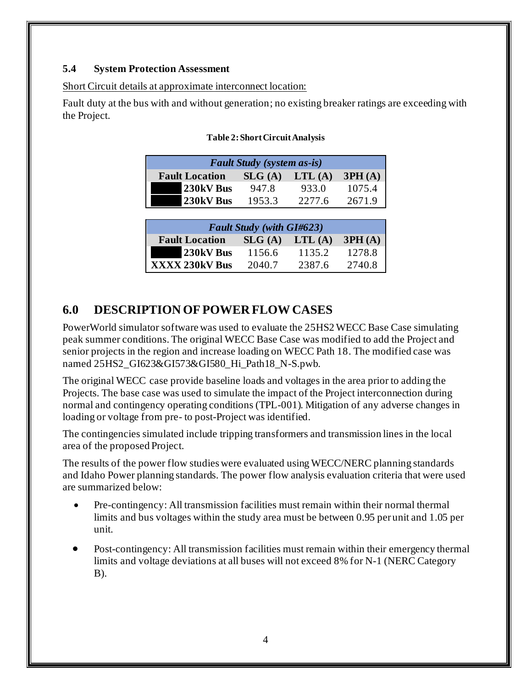#### <span id="page-7-0"></span>**5.4 System Protection Assessment**

#### Short Circuit details at approximate interconnect location:

<span id="page-7-2"></span>Fault duty at the bus with and without generation; no existing breaker ratings are exceeding with the Project.

| <b>Fault Study</b> (system as-is) |        |        |        |
|-----------------------------------|--------|--------|--------|
| <b>Fault Location</b>             | SLG(A) | LTL(A) | 3PH(A) |
| 230kV Bus                         | 947.8  | 933.0  | 1075.4 |
| 230kV Bus                         | 1953.3 | 2277.6 | 2671.9 |

#### **Table 2: Short Circuit Analysis**

| <b>Fault Study (with GI#623)</b> |        |        |        |
|----------------------------------|--------|--------|--------|
| <b>Fault Location</b>            | SLG(A) | LTL(A) | 3PH(A) |
| 230kV Bus                        | 1156.6 | 1135.2 | 1278.8 |
| XXXX 230kV Bus                   | 2040.7 | 2387.6 | 2740.8 |

### <span id="page-7-1"></span>**6.0 DESCRIPTION OF POWER FLOW CASES**

PowerWorld simulator software was used to evaluate the 25HS2 WECC Base Case simulating peak summer conditions. The original WECC Base Case was modified to add the Project and senior projects in the region and increase loading on WECC Path 18. The modified case was named 25HS2\_GI623&GI573&GI580\_Hi\_Path18\_N-S.pwb.

The original WECC case provide baseline loads and voltages in the area prior to adding the Projects. The base case was used to simulate the impact of the Project interconnection during normal and contingency operating conditions (TPL-001). Mitigation of any adverse changes in loading or voltage from pre- to post-Project was identified.

The contingencies simulated include tripping transformers and transmission lines in the local area of the proposed Project.

The results of the power flow studies were evaluated using WECC/NERC planning standards and Idaho Power planning standards. The power flow analysis evaluation criteria that were used are summarized below:

- Pre-contingency: All transmission facilities must remain within their normal thermal limits and bus voltages within the study area must be between 0.95 per unit and 1.05 per unit.
- Post-contingency: All transmission facilities must remain within their emergency thermal limits and voltage deviations at all buses will not exceed 8% for N-1 (NERC Category B).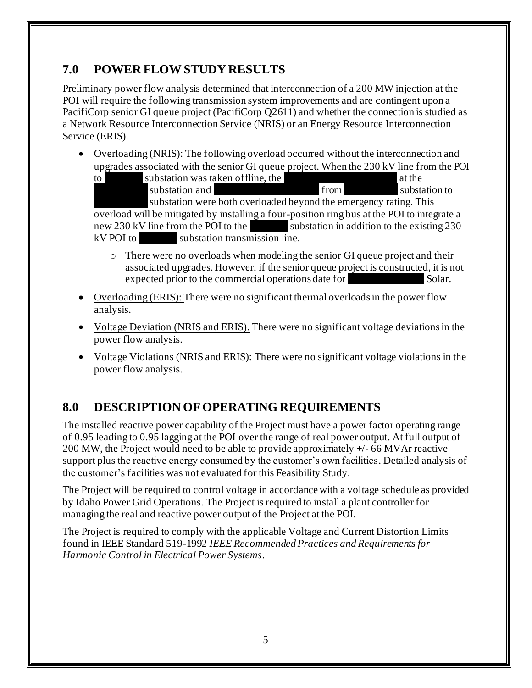### <span id="page-8-0"></span>**7.0 POWER FLOWSTUDY RESULTS**

Preliminary power flow analysis determined that interconnection of a 200 MW injection at the POI will require the following transmission system improvements and are contingent upon a PacifiCorp senior GI queue project (PacifiCorp Q2611) and whether the connection is studied as a Network Resource Interconnection Service (NRIS) or an Energy Resource Interconnection Service (ERIS).

• Overloading (NRIS): The following overload occurred without the interconnection and upgrades associated with the senior GI queue project. When the 230 kV line from the POI

to substation was taken of fline, the XXXXXXXXXX at the XXXXXXX substation and  $\sim$  from Substation to substation were both overloaded beyond the emergency rating. This overload will be mitigated by installing a four-position ring bus at the POI to integrate a new 230 kV line from the POI to the  $\sim$  substation in addition to the existing 230  $kV$  POI to  $\sim$  substation transmission line.

- o There were no overloads when modeling the senior GI queue project and their associated upgrades. However, if the senior queue project is constructed, it is not expected prior to the commercial operations date for Solar.
- Overloading (ERIS): There were no significant thermal overloads in the power flow analysis.
- Voltage Deviation (NRIS and ERIS). There were no significant voltage deviations in the power flow analysis.
- Voltage Violations (NRIS and ERIS): There were no significant voltage violations in the power flow analysis.

## <span id="page-8-1"></span>**8.0 DESCRIPTION OF OPERATING REQUIREMENTS**

The installed reactive power capability of the Project must have a power factor operating range of 0.95 leading to 0.95 lagging at the POI over the range of real power output. At full output of 200 MW, the Project would need to be able to provide approximately +/- 66 MVAr reactive support plus the reactive energy consumed by the customer's own facilities. Detailed analysis of the customer's facilities was not evaluated for this Feasibility Study.

The Project will be required to control voltage in accordance with a voltage schedule as provided by Idaho Power Grid Operations. The Project is required to install a plant controller for managing the real and reactive power output of the Project at the POI.

The Project is required to comply with the applicable Voltage and Current Distortion Limits found in IEEE Standard 519-1992 *IEEE Recommended Practices and Requirements for Harmonic Control in Electrical Power Systems*.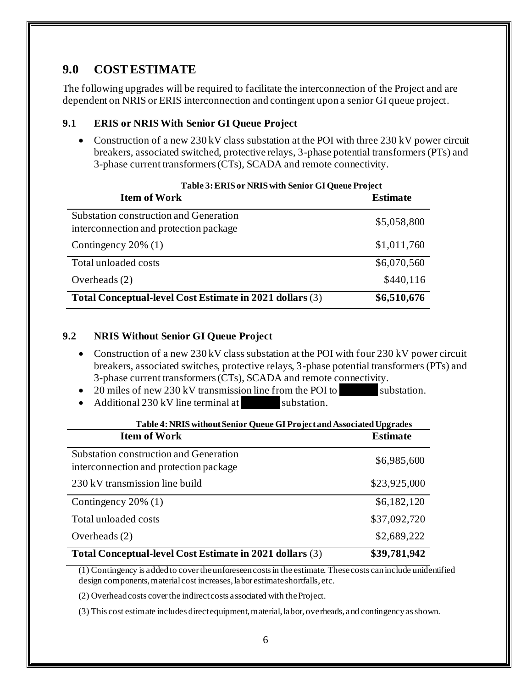### <span id="page-9-0"></span>**9.0 COST ESTIMATE**

The following upgrades will be required to facilitate the interconnection of the Project and are dependent on NRIS or ERIS interconnection and contingent upon a senior GI queue project.

#### <span id="page-9-1"></span>**9.1 ERIS or NRIS With Senior GI Queue Project**

• Construction of a new 230 kV class substation at the POI with three 230 kV power circuit breakers, associated switched, protective relays, 3-phase potential transformers (PTs) and 3-phase current transformers (CTs), SCADA and remote connectivity.

<span id="page-9-3"></span>

| Table 3: ERIS or NRIS with Senior GI Queue Project                               |                 |  |
|----------------------------------------------------------------------------------|-----------------|--|
| <b>Item of Work</b>                                                              | <b>Estimate</b> |  |
| Substation construction and Generation<br>interconnection and protection package | \$5,058,800     |  |
| Contingency $20\%$ (1)                                                           | \$1,011,760     |  |
| Total unloaded costs                                                             | \$6,070,560     |  |
| Overheads $(2)$                                                                  | \$440,116       |  |
| Total Conceptual-level Cost Estimate in 2021 dollars (3)                         | \$6,510,676     |  |

#### <span id="page-9-2"></span>**9.2 NRIS Without Senior GI Queue Project**

- Construction of a new 230 kV class substation at the POI with four 230 kV power circuit breakers, associated switches, protective relays, 3-phase potential transformers (PTs) and 3-phase current transformers (CTs), SCADA and remote connectivity.
- 20 miles of new 230 kV transmission line from the POI to substation.
- Additional 230 kV line terminal at  $\blacksquare$  substation.

<span id="page-9-4"></span>

| Table 4: NRIS without Senior Queue GI Project and Associated Upgrades            |                 |  |
|----------------------------------------------------------------------------------|-----------------|--|
| <b>Item of Work</b>                                                              | <b>Estimate</b> |  |
| Substation construction and Generation<br>interconnection and protection package | \$6,985,600     |  |
| 230 kV transmission line build                                                   | \$23,925,000    |  |
| Contingency $20\%$ (1)                                                           | \$6,182,120     |  |
| Total unloaded costs                                                             | \$37,092,720    |  |
| Overheads $(2)$                                                                  | \$2,689,222     |  |
| Total Conceptual-level Cost Estimate in 2021 dollars (3)                         | \$39,781,942    |  |

(1) Contingency is added to cover the unforeseen costs in the estimate. Thesecosts can include unidentified design components, material cost increases, labor estimate shortfalls, etc.

(2) Overhead costs cover the indirect costs associated with the Project.

(3) This cost estimate includes direct equipment, material, labor, overheads, and contingency as shown.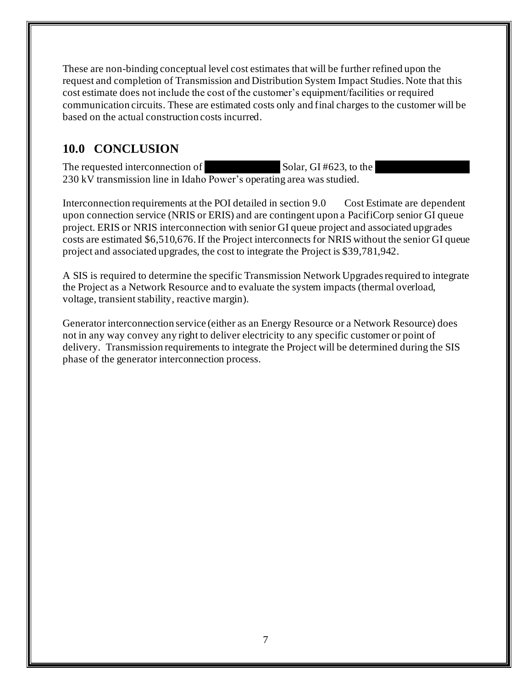These are non-binding conceptual level cost estimates that will be further refined upon the request and completion of Transmission and Distribution System Impact Studies. Note that this cost estimate does not include the cost of the customer's equipment/facilities or required communication circuits. These are estimated costs only and final charges to the customer will be based on the actual construction costs incurred.

### <span id="page-10-0"></span>**10.0 CONCLUSION**

The requested interconnection of  $\qquad \qquad$  Solar, GI #623, to the 230 kV transmission line in Idaho Power's operating area was studied.

Interconnection requirements at the POI detailed in section 9.0 [Cost Estimate](#page-9-0) are dependent upon connection service (NRIS or ERIS) and are contingent upon a PacifiCorp senior GI queue project. ERIS or NRIS interconnection with senior GI queue project and associated upgrades costs are estimated \$6,510,676. If the Project interconnects for NRIS without the senior GI queue project and associated upgrades, the cost to integrate the Project is \$39,781,942.

A SIS is required to determine the specific Transmission Network Upgrades required to integrate the Project as a Network Resource and to evaluate the system impacts (thermal overload, voltage, transient stability, reactive margin).

Generator interconnection service (either as an Energy Resource or a Network Resource) does not in any way convey any right to deliver electricity to any specific customer or point of delivery. Transmission requirements to integrate the Project will be determined during the SIS phase of the generator interconnection process.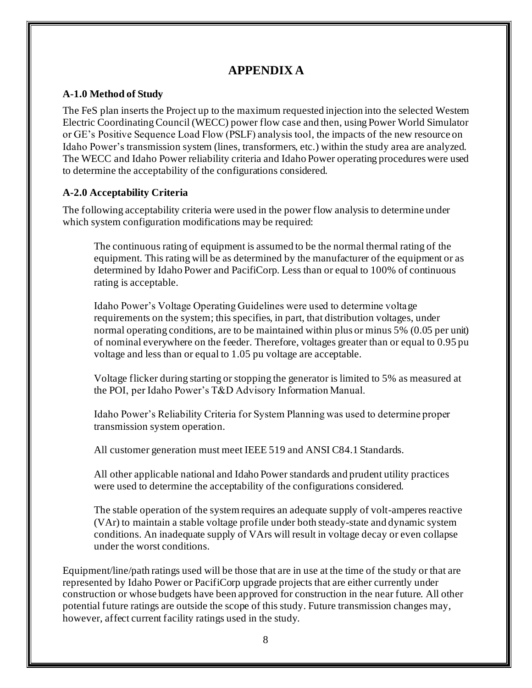### **APPENDIX A**

#### <span id="page-11-1"></span><span id="page-11-0"></span>**A-1.0 Method of Study**

The FeS plan inserts the Project up to the maximum requested injection into the selected Western Electric Coordinating Council (WECC) power flow case and then, using Power World Simulator or GE's Positive Sequence Load Flow (PSLF) analysis tool, the impacts of the new resource on Idaho Power's transmission system (lines, transformers, etc.) within the study area are analyzed. The WECC and Idaho Power reliability criteria and Idaho Power operating procedures were used to determine the acceptability of the configurations considered.

#### <span id="page-11-2"></span>**A-2.0 Acceptability Criteria**

The following acceptability criteria were used in the power flow analysis to determine under which system configuration modifications may be required:

The continuous rating of equipment is assumed to be the normal thermal rating of the equipment. This rating will be as determined by the manufacturer of the equipment or as determined by Idaho Power and PacifiCorp. Less than or equal to 100% of continuous rating is acceptable.

Idaho Power's Voltage Operating Guidelines were used to determine voltage requirements on the system; this specifies, in part, that distribution voltages, under normal operating conditions, are to be maintained within plus or minus 5% (0.05 per unit) of nominal everywhere on the feeder. Therefore, voltages greater than or equal to 0.95 pu voltage and less than or equal to 1.05 pu voltage are acceptable.

Voltage flicker during starting or stopping the generator is limited to 5% as measured at the POI, per Idaho Power's T&D Advisory Information Manual.

Idaho Power's Reliability Criteria for System Planning was used to determine proper transmission system operation.

All customer generation must meet IEEE 519 and ANSI C84.1 Standards.

All other applicable national and Idaho Power standards and prudent utility practices were used to determine the acceptability of the configurations considered.

The stable operation of the system requires an adequate supply of volt-amperes reactive (VAr) to maintain a stable voltage profile under both steady-state and dynamic system conditions. An inadequate supply of VArs will result in voltage decay or even collapse under the worst conditions.

Equipment/line/path ratings used will be those that are in use at the time of the study or that are represented by Idaho Power or PacifiCorp upgrade projects that are either currently under construction or whose budgets have been approved for construction in the near future. All other potential future ratings are outside the scope of this study. Future transmission changes may, however, affect current facility ratings used in the study.